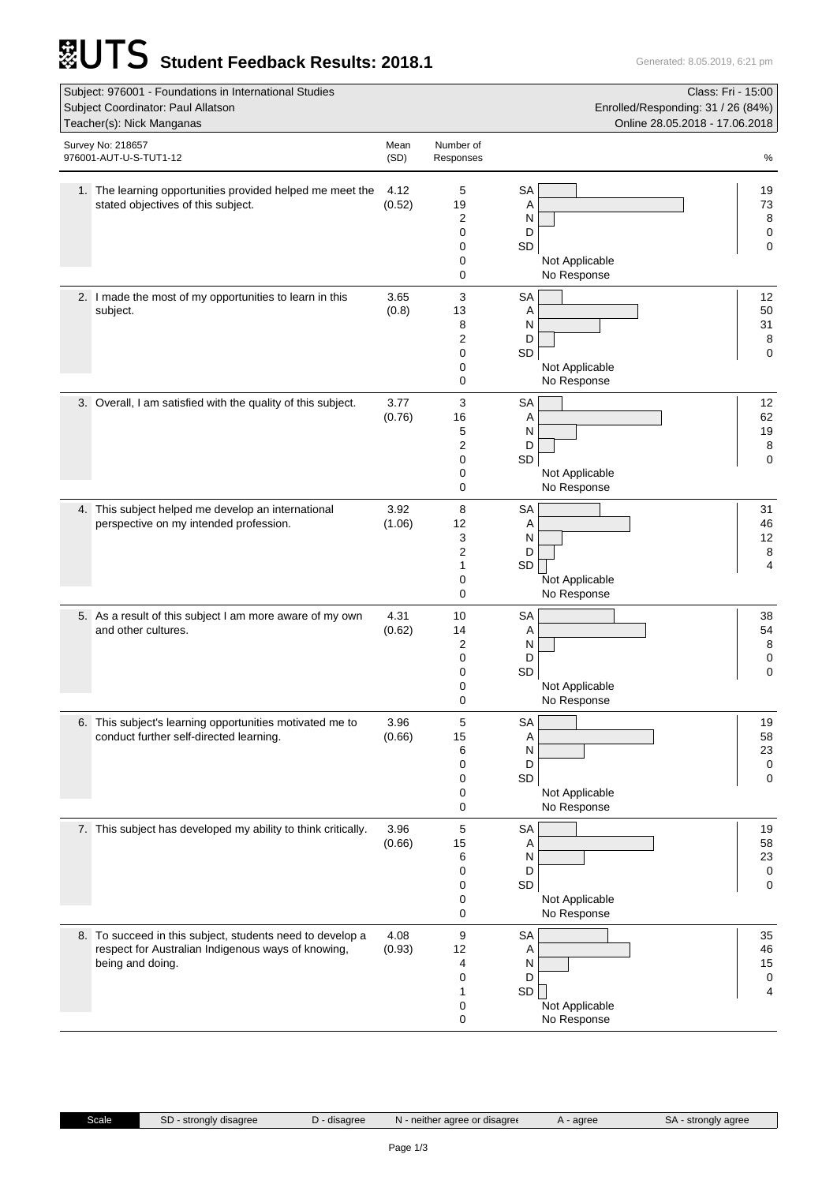## **Student Feedback Results: 2018.1** Generated: 8.05.2019, 6:21 pm

| Subject: 976001 - Foundations in International Studies<br>Subject Coordinator: Paul Allatson<br>Teacher(s): Nick Manganas           |                |                                   | Class: Fri - 15:00<br>Enrolled/Responding: 31 / 26 (84%)<br>Online 28.05.2018 - 17.06.2018 |                          |
|-------------------------------------------------------------------------------------------------------------------------------------|----------------|-----------------------------------|--------------------------------------------------------------------------------------------|--------------------------|
| Survey No: 218657<br>976001-AUT-U-S-TUT1-12                                                                                         | Mean<br>(SD)   | Number of<br>Responses            |                                                                                            | %                        |
| 1. The learning opportunities provided helped me meet the<br>stated objectives of this subject.                                     | 4.12<br>(0.52) | 5<br>19<br>2<br>0<br>0<br>0<br>0  | <b>SA</b><br>Α<br>N<br>D<br>SD<br>Not Applicable<br>No Response                            | 19<br>73<br>8<br>0<br>0  |
| 2. I made the most of my opportunities to learn in this<br>subject.                                                                 | 3.65<br>(0.8)  | 3<br>13<br>8<br>2<br>0<br>0<br>0  | <b>SA</b><br>Α<br>N<br>D<br>SD<br>Not Applicable<br>No Response                            | 12<br>50<br>31<br>8<br>0 |
| 3. Overall, I am satisfied with the quality of this subject.                                                                        | 3.77<br>(0.76) | 3<br>16<br>5<br>2<br>0<br>0<br>0  | <b>SA</b><br>Α<br>N<br>D<br>SD<br>Not Applicable<br>No Response                            | 12<br>62<br>19<br>8<br>0 |
| 4. This subject helped me develop an international<br>perspective on my intended profession.                                        | 3.92<br>(1.06) | 8<br>12<br>3<br>2<br>1<br>0<br>0  | <b>SA</b><br>Α<br>N<br>D<br>SD<br>Not Applicable<br>No Response                            | 31<br>46<br>12<br>8<br>4 |
| 5. As a result of this subject I am more aware of my own<br>and other cultures.                                                     | 4.31<br>(0.62) | 10<br>14<br>2<br>0<br>0<br>0<br>0 | <b>SA</b><br>Α<br>N<br>D<br>SD<br>Not Applicable<br>No Response                            | 38<br>54<br>8<br>0<br>0  |
| 6. This subject's learning opportunities motivated me to<br>conduct further self-directed learning.                                 | 3.96<br>(0.66) | 5<br>15<br>6<br>0<br>0<br>0<br>0  | SA<br>Α<br>N<br>D<br>SD<br>Not Applicable<br>No Response                                   | 19<br>58<br>23<br>0<br>0 |
| 7. This subject has developed my ability to think critically.                                                                       | 3.96<br>(0.66) | 5<br>15<br>6<br>0<br>0<br>0<br>0  | <b>SA</b><br>A<br>N<br>D<br>SD<br>Not Applicable<br>No Response                            | 19<br>58<br>23<br>0<br>0 |
| 8. To succeed in this subject, students need to develop a<br>respect for Australian Indigenous ways of knowing,<br>being and doing. | 4.08<br>(0.93) | 9<br>12<br>4<br>0<br>1<br>0<br>0  | <b>SA</b><br>Α<br>N<br>D<br>SD  <br>Not Applicable<br>No Response                          | 35<br>46<br>15<br>0<br>4 |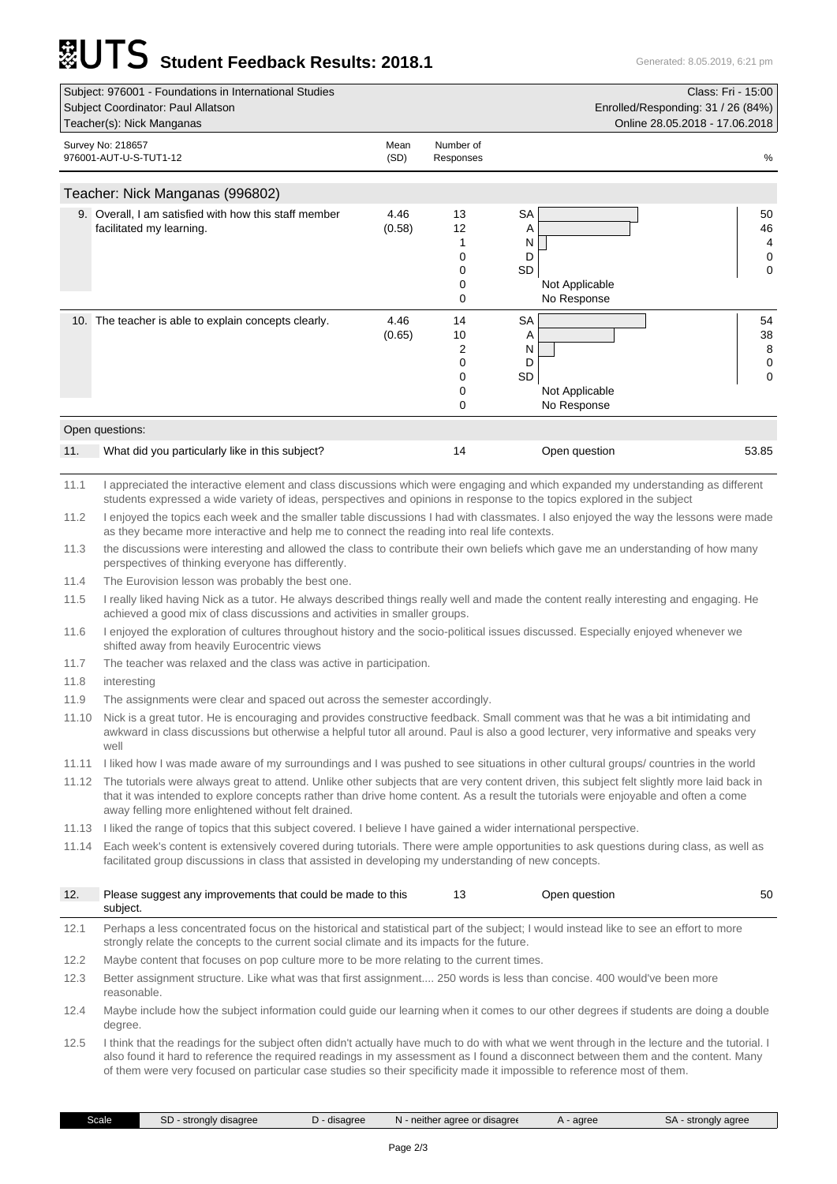## **SALITS** Student Feedback Results: 2018.1

| Subject: 976001 - Foundations in International Studies |                                                       |              |                        | Class: Fri - 15:00<br>Enrolled/Responding: 31 / 26 (84%) |    |  |
|--------------------------------------------------------|-------------------------------------------------------|--------------|------------------------|----------------------------------------------------------|----|--|
| Subject Coordinator: Paul Allatson                     |                                                       |              |                        |                                                          |    |  |
|                                                        | Teacher(s): Nick Manganas                             |              |                        | Online 28.05.2018 - 17.06.2018                           |    |  |
|                                                        | Survey No: 218657<br>976001-AUT-U-S-TUT1-12           | Mean<br>(SD) | Number of<br>Responses |                                                          | %  |  |
|                                                        | Teacher: Nick Manganas (996802)                       |              |                        |                                                          |    |  |
|                                                        | 9. Overall, I am satisfied with how this staff member | 4.46         | 13                     | SA                                                       | 50 |  |
|                                                        | facilitated my learning.                              | (0.58)       | 12                     | Α                                                        | 46 |  |
|                                                        |                                                       |              |                        | N                                                        | 4  |  |
|                                                        |                                                       |              | 0                      | D                                                        | 0  |  |
|                                                        |                                                       |              | 0                      | <b>SD</b>                                                | 0  |  |
|                                                        |                                                       |              | 0                      | Not Applicable                                           |    |  |
|                                                        |                                                       |              | 0                      | No Response                                              |    |  |
|                                                        | 10. The teacher is able to explain concepts clearly.  | 4.46         | 14                     | <b>SA</b>                                                | 54 |  |
|                                                        |                                                       | (0.65)       | 10                     | Α                                                        | 38 |  |
|                                                        |                                                       |              | 2                      | N                                                        | 8  |  |
|                                                        |                                                       |              | 0                      | D                                                        | 0  |  |
|                                                        |                                                       |              | 0                      | <b>SD</b>                                                | 0  |  |
|                                                        |                                                       |              | 0                      | Not Applicable                                           |    |  |
|                                                        |                                                       |              | 0                      | No Response                                              |    |  |

| 11. | What did you particularly like in this subject? | Open question | 53.85 |
|-----|-------------------------------------------------|---------------|-------|
|     |                                                 |               |       |

11.1 I appreciated the interactive element and class discussions which were engaging and which expanded my understanding as different students expressed a wide variety of ideas, perspectives and opinions in response to the topics explored in the subject

11.2 I enjoyed the topics each week and the smaller table discussions I had with classmates. I also enjoyed the way the lessons were made as they became more interactive and help me to connect the reading into real life contexts.

11.3 the discussions were interesting and allowed the class to contribute their own beliefs which gave me an understanding of how many perspectives of thinking everyone has differently.

11.4 The Eurovision lesson was probably the best one.

11.5 I really liked having Nick as a tutor. He always described things really well and made the content really interesting and engaging. He achieved a good mix of class discussions and activities in smaller groups.

11.6 I enjoyed the exploration of cultures throughout history and the socio-political issues discussed. Especially enjoyed whenever we shifted away from heavily Eurocentric views

11.7 The teacher was relaxed and the class was active in participation.

11.8 interesting

11.9 The assignments were clear and spaced out across the semester accordingly.

11.10 Nick is a great tutor. He is encouraging and provides constructive feedback. Small comment was that he was a bit intimidating and awkward in class discussions but otherwise a helpful tutor all around. Paul is also a good lecturer, very informative and speaks very well

11.11 I liked how I was made aware of my surroundings and I was pushed to see situations in other cultural groups/ countries in the world

11.12 The tutorials were always great to attend. Unlike other subjects that are very content driven, this subject felt slightly more laid back in that it was intended to explore concepts rather than drive home content. As a result the tutorials were enjoyable and often a come away felling more enlightened without felt drained.

11.13 I liked the range of topics that this subject covered. I believe I have gained a wider international perspective.

11.14 Each week's content is extensively covered during tutorials. There were ample opportunities to ask questions during class, as well as facilitated group discussions in class that assisted in developing my understanding of new concepts.

| 12.  | Please suggest any improvements that could be made to this<br>subject.                                                                                                                                                                                                            | 13 | Open question | 50 |
|------|-----------------------------------------------------------------------------------------------------------------------------------------------------------------------------------------------------------------------------------------------------------------------------------|----|---------------|----|
| 12.1 | Perhaps a less concentrated focus on the historical and statistical part of the subject; I would instead like to see an effort to more<br>strongly relate the concepts to the current social climate and its impacts for the future.                                              |    |               |    |
| 12.2 | Maybe content that focuses on pop culture more to be more relating to the current times.                                                                                                                                                                                          |    |               |    |
| 12.3 | Better assignment structure. Like what was that first assignment 250 words is less than concise. 400 would've been more<br>reasonable.                                                                                                                                            |    |               |    |
| 12.4 | Maybe include how the subject information could quide our learning when it comes to our other degrees if students are doing a double<br>degree.                                                                                                                                   |    |               |    |
| 12.5 | I think that the readings for the subject often didn't actually have much to do with what we went through in the lecture and the tutorial. I<br>also found it hard to reference the required readings in my assessment as I found a disconnect between them and the content. Many |    |               |    |

Scale SD - strongly disagree D - disagree N - neither agree or disagree A - agree SA - strongly agree

of them were very focused on particular case studies so their specificity made it impossible to reference most of them.